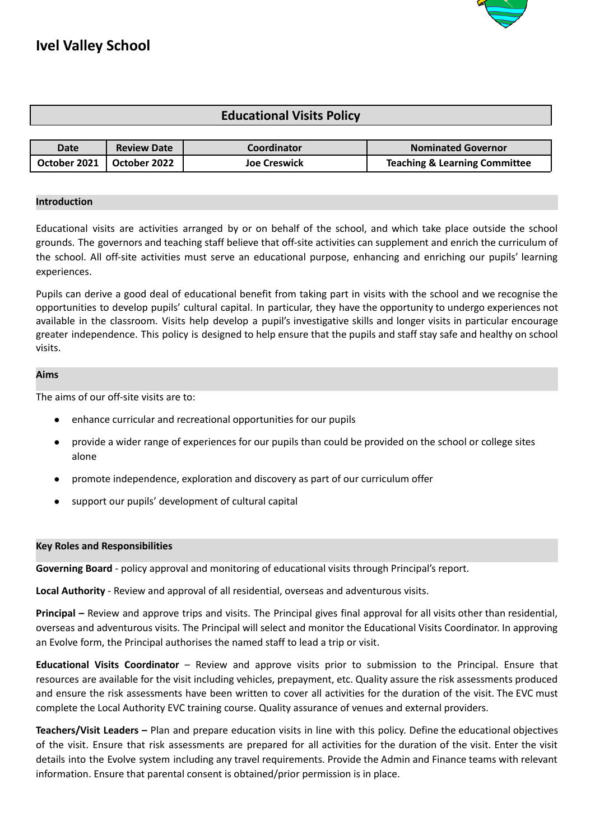

#### **Educational Visits Policy**

| Date | <b>Review Date</b>          | Coordinator         | <b>Nominated Governor</b>                |
|------|-----------------------------|---------------------|------------------------------------------|
|      | October 2021   October 2022 | <b>Joe Creswick</b> | <b>Teaching &amp; Learning Committee</b> |

#### **Introduction**

Educational visits are activities arranged by or on behalf of the school, and which take place outside the school grounds. The governors and teaching staff believe that off-site activities can supplement and enrich the curriculum of the school. All off-site activities must serve an educational purpose, enhancing and enriching our pupils' learning experiences.

Pupils can derive a good deal of educational benefit from taking part in visits with the school and we recognise the opportunities to develop pupils' cultural capital. In particular, they have the opportunity to undergo experiences not available in the classroom. Visits help develop a pupil's investigative skills and longer visits in particular encourage greater independence. This policy is designed to help ensure that the pupils and staff stay safe and healthy on school visits.

#### **Aims**

The aims of our off-site visits are to:

- enhance curricular and recreational opportunities for our pupils
- provide a wider range of experiences for our pupils than could be provided on the school or college sites alone
- promote independence, exploration and discovery as part of our curriculum offer
- support our pupils' development of cultural capital

#### **Key Roles and Responsibilities**

**Governing Board** - policy approval and monitoring of educational visits through Principal's report.

**Local Authority** - Review and approval of all residential, overseas and adventurous visits.

**Principal –** Review and approve trips and visits. The Principal gives final approval for all visits other than residential, overseas and adventurous visits. The Principal will select and monitor the Educational Visits Coordinator. In approving an Evolve form, the Principal authorises the named staff to lead a trip or visit.

**Educational Visits Coordinator** – Review and approve visits prior to submission to the Principal. Ensure that resources are available for the visit including vehicles, prepayment, etc. Quality assure the risk assessments produced and ensure the risk assessments have been written to cover all activities for the duration of the visit. The EVC must complete the Local Authority EVC training course. Quality assurance of venues and external providers.

**Teachers/Visit Leaders –** Plan and prepare education visits in line with this policy. Define the educational objectives of the visit. Ensure that risk assessments are prepared for all activities for the duration of the visit. Enter the visit details into the Evolve system including any travel requirements. Provide the Admin and Finance teams with relevant information. Ensure that parental consent is obtained/prior permission is in place.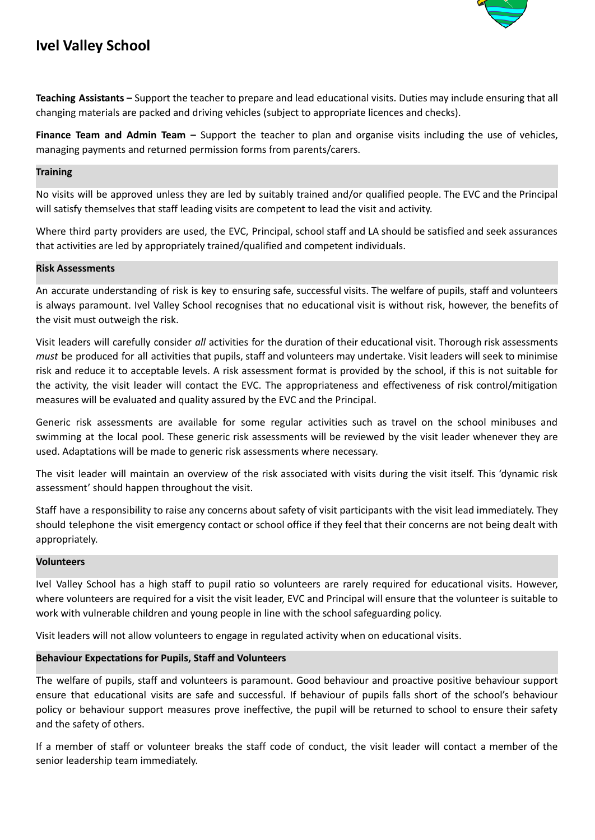

**Teaching Assistants –** Support the teacher to prepare and lead educational visits. Duties may include ensuring that all changing materials are packed and driving vehicles (subject to appropriate licences and checks).

**Finance Team and Admin Team –** Support the teacher to plan and organise visits including the use of vehicles, managing payments and returned permission forms from parents/carers.

#### **Training**

No visits will be approved unless they are led by suitably trained and/or qualified people. The EVC and the Principal will satisfy themselves that staff leading visits are competent to lead the visit and activity.

Where third party providers are used, the EVC, Principal, school staff and LA should be satisfied and seek assurances that activities are led by appropriately trained/qualified and competent individuals.

#### **Risk Assessments**

An accurate understanding of risk is key to ensuring safe, successful visits. The welfare of pupils, staff and volunteers is always paramount. Ivel Valley School recognises that no educational visit is without risk, however, the benefits of the visit must outweigh the risk.

Visit leaders will carefully consider *all* activities for the duration of their educational visit. Thorough risk assessments *must* be produced for all activities that pupils, staff and volunteers may undertake. Visit leaders will seek to minimise risk and reduce it to acceptable levels. A risk assessment format is provided by the school, if this is not suitable for the activity, the visit leader will contact the EVC. The appropriateness and effectiveness of risk control/mitigation measures will be evaluated and quality assured by the EVC and the Principal.

Generic risk assessments are available for some regular activities such as travel on the school minibuses and swimming at the local pool. These generic risk assessments will be reviewed by the visit leader whenever they are used. Adaptations will be made to generic risk assessments where necessary.

The visit leader will maintain an overview of the risk associated with visits during the visit itself. This 'dynamic risk assessment' should happen throughout the visit.

Staff have a responsibility to raise any concerns about safety of visit participants with the visit lead immediately. They should telephone the visit emergency contact or school office if they feel that their concerns are not being dealt with appropriately.

#### **Volunteers**

Ivel Valley School has a high staff to pupil ratio so volunteers are rarely required for educational visits. However, where volunteers are required for a visit the visit leader, EVC and Principal will ensure that the volunteer is suitable to work with vulnerable children and young people in line with the school safeguarding policy.

Visit leaders will not allow volunteers to engage in regulated activity when on educational visits.

#### **Behaviour Expectations for Pupils, Staff and Volunteers**

The welfare of pupils, staff and volunteers is paramount. Good behaviour and proactive positive behaviour support ensure that educational visits are safe and successful. If behaviour of pupils falls short of the school's behaviour policy or behaviour support measures prove ineffective, the pupil will be returned to school to ensure their safety and the safety of others.

If a member of staff or volunteer breaks the staff code of conduct, the visit leader will contact a member of the senior leadership team immediately.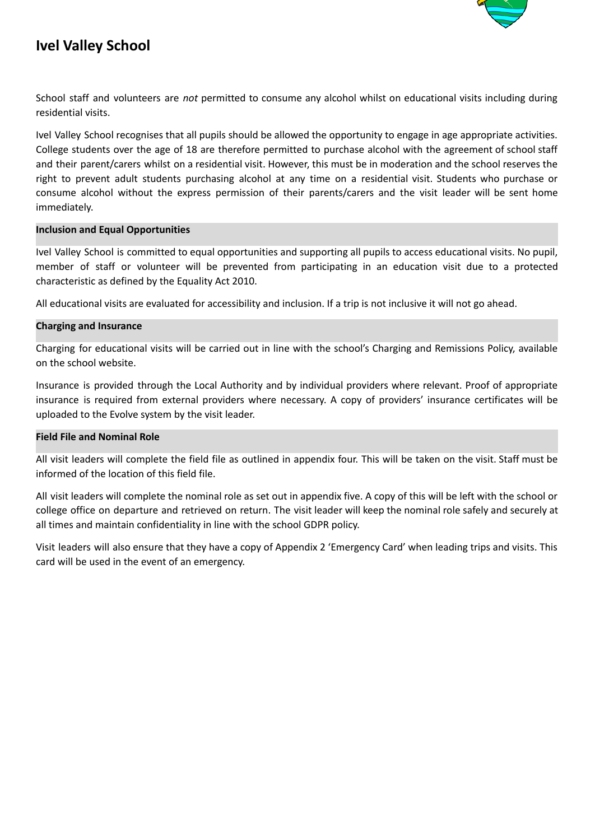

School staff and volunteers are *not* permitted to consume any alcohol whilst on educational visits including during residential visits.

Ivel Valley School recognises that all pupils should be allowed the opportunity to engage in age appropriate activities. College students over the age of 18 are therefore permitted to purchase alcohol with the agreement of school staff and their parent/carers whilst on a residential visit. However, this must be in moderation and the school reserves the right to prevent adult students purchasing alcohol at any time on a residential visit. Students who purchase or consume alcohol without the express permission of their parents/carers and the visit leader will be sent home immediately.

#### **Inclusion and Equal Opportunities**

Ivel Valley School is committed to equal opportunities and supporting all pupils to access educational visits. No pupil, member of staff or volunteer will be prevented from participating in an education visit due to a protected characteristic as defined by the Equality Act 2010.

All educational visits are evaluated for accessibility and inclusion. If a trip is not inclusive it will not go ahead.

#### **Charging and Insurance**

Charging for educational visits will be carried out in line with the school's Charging and Remissions Policy, available on the school website.

Insurance is provided through the Local Authority and by individual providers where relevant. Proof of appropriate insurance is required from external providers where necessary. A copy of providers' insurance certificates will be uploaded to the Evolve system by the visit leader.

#### **Field File and Nominal Role**

All visit leaders will complete the field file as outlined in appendix four. This will be taken on the visit. Staff must be informed of the location of this field file.

All visit leaders will complete the nominal role as set out in appendix five. A copy of this will be left with the school or college office on departure and retrieved on return. The visit leader will keep the nominal role safely and securely at all times and maintain confidentiality in line with the school GDPR policy.

Visit leaders will also ensure that they have a copy of Appendix 2 'Emergency Card' when leading trips and visits. This card will be used in the event of an emergency.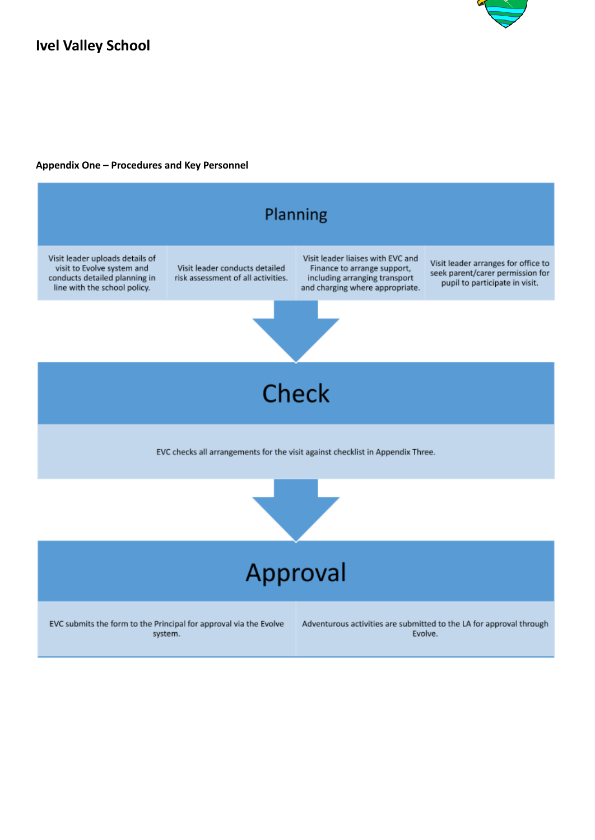

#### **Appendix One – Procedures and Key Personnel**

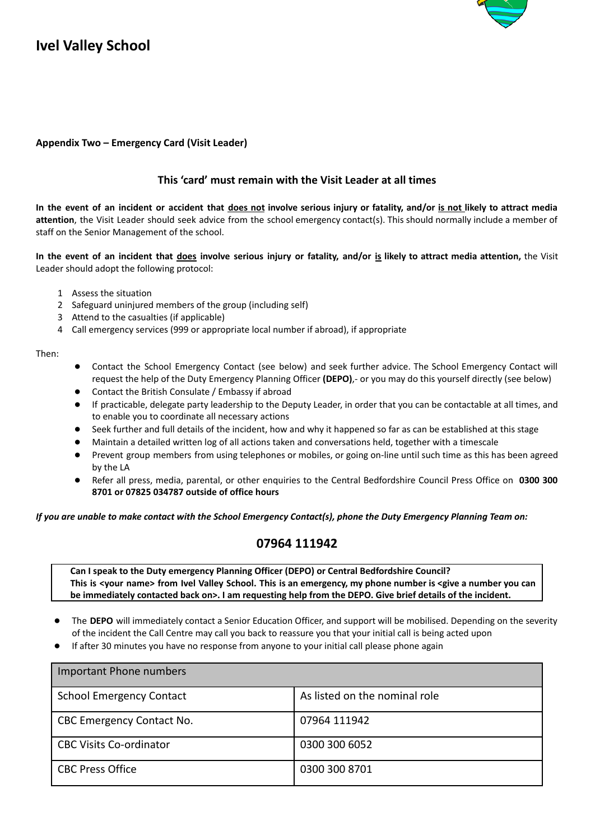

#### **Appendix Two – Emergency Card (Visit Leader)**

#### **This 'card' must remain with the Visit Leader at all times**

In the event of an incident or accident that does not involve serious injury or fatality, and/or is not likely to attract media **attention**, the Visit Leader should seek advice from the school emergency contact(s). This should normally include a member of staff on the Senior Management of the school.

In the event of an incident that does involve serious injury or fatality, and/or is likely to attract media attention, the Visit Leader should adopt the following protocol:

- 1 Assess the situation
- 2 Safeguard uninjured members of the group (including self)
- 3 Attend to the casualties (if applicable)
- 4 Call emergency services (999 or appropriate local number if abroad), if appropriate

Then:

- Contact the School Emergency Contact (see below) and seek further advice. The School Emergency Contact will request the help of the Duty Emergency Planning Officer **(DEPO)**,- or you may do this yourself directly (see below)
- Contact the British Consulate / Embassy if abroad
- If practicable, delegate party leadership to the Deputy Leader, in order that you can be contactable at all times, and to enable you to coordinate all necessary actions
- Seek further and full details of the incident, how and why it happened so far as can be established at this stage
- Maintain a detailed written log of all actions taken and conversations held, together with a timescale
- Prevent group members from using telephones or mobiles, or going on-line until such time as this has been agreed by the LA
- Refer all press, media, parental, or other enquiries to the Central Bedfordshire Council Press Office on **0300 300 8701 or 07825 034787 outside of office hours**

If you are unable to make contact with the School Emergency Contact(s), phone the Duty Emergency Planning Team on:

#### **07964 111942**

**Can I speak to the Duty emergency Planning Officer (DEPO) or Central Bedfordshire Council?** This is <your name> from Ivel Valley School. This is an emergency, my phone number is <give a number you can be immediately contacted back on>. I am requesting help from the DEPO. Give brief details of the incident.

- The DEPO will immediately contact a Senior Education Officer, and support will be mobilised. Depending on the severity of the incident the Call Centre may call you back to reassure you that your initial call is being acted upon
- If after 30 minutes you have no response from anyone to your initial call please phone again

| Important Phone numbers         |                               |  |  |  |
|---------------------------------|-------------------------------|--|--|--|
| <b>School Emergency Contact</b> | As listed on the nominal role |  |  |  |
| CBC Emergency Contact No.       | 07964 111942                  |  |  |  |
| <b>CBC Visits Co-ordinator</b>  | 0300 300 6052                 |  |  |  |
| <b>CBC Press Office</b>         | 0300 300 8701                 |  |  |  |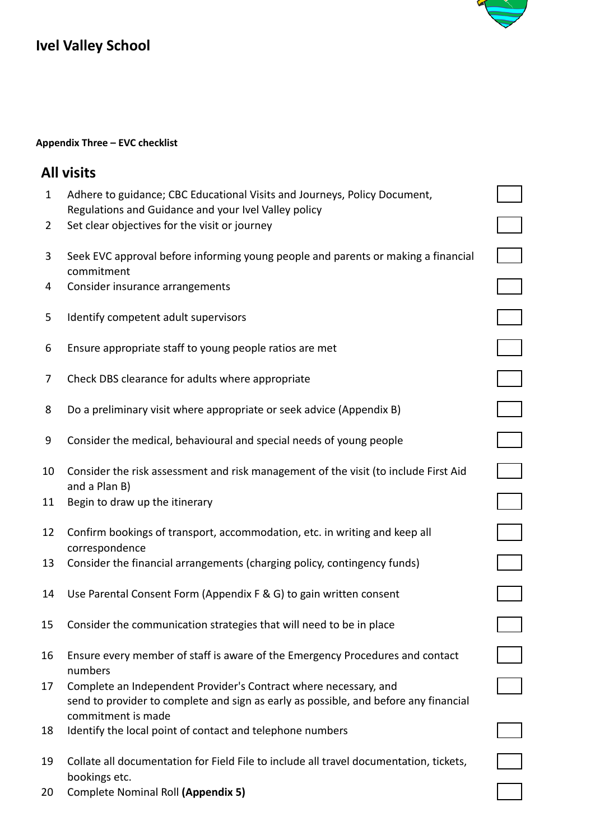

#### **Appendix Three – EVC checklist**

|                | All visits                                                                                                                                                                     |  |
|----------------|--------------------------------------------------------------------------------------------------------------------------------------------------------------------------------|--|
| $\mathbf{1}$   | Adhere to guidance; CBC Educational Visits and Journeys, Policy Document,<br>Regulations and Guidance and your Ivel Valley policy                                              |  |
| $\overline{2}$ | Set clear objectives for the visit or journey                                                                                                                                  |  |
| 3              | Seek EVC approval before informing young people and parents or making a financial<br>commitment                                                                                |  |
| 4              | Consider insurance arrangements                                                                                                                                                |  |
| 5              | Identify competent adult supervisors                                                                                                                                           |  |
| 6              | Ensure appropriate staff to young people ratios are met                                                                                                                        |  |
| 7              | Check DBS clearance for adults where appropriate                                                                                                                               |  |
| 8              | Do a preliminary visit where appropriate or seek advice (Appendix B)                                                                                                           |  |
| 9              | Consider the medical, behavioural and special needs of young people                                                                                                            |  |
| 10             | Consider the risk assessment and risk management of the visit (to include First Aid<br>and a Plan B)                                                                           |  |
| 11             | Begin to draw up the itinerary                                                                                                                                                 |  |
| 12             | Confirm bookings of transport, accommodation, etc. in writing and keep all<br>correspondence                                                                                   |  |
| 13             | Consider the financial arrangements (charging policy, contingency funds)                                                                                                       |  |
| 14             | Use Parental Consent Form (Appendix F & G) to gain written consent                                                                                                             |  |
| 15             | Consider the communication strategies that will need to be in place                                                                                                            |  |
| 16             | Ensure every member of staff is aware of the Emergency Procedures and contact<br>numbers                                                                                       |  |
| 17             | Complete an Independent Provider's Contract where necessary, and<br>send to provider to complete and sign as early as possible, and before any financial<br>commitment is made |  |
| 18             | Identify the local point of contact and telephone numbers                                                                                                                      |  |
| 19             | Collate all documentation for Field File to include all travel documentation, tickets,<br>bookings etc.                                                                        |  |
|                |                                                                                                                                                                                |  |

Complete Nominal Roll **(Appendix 5)**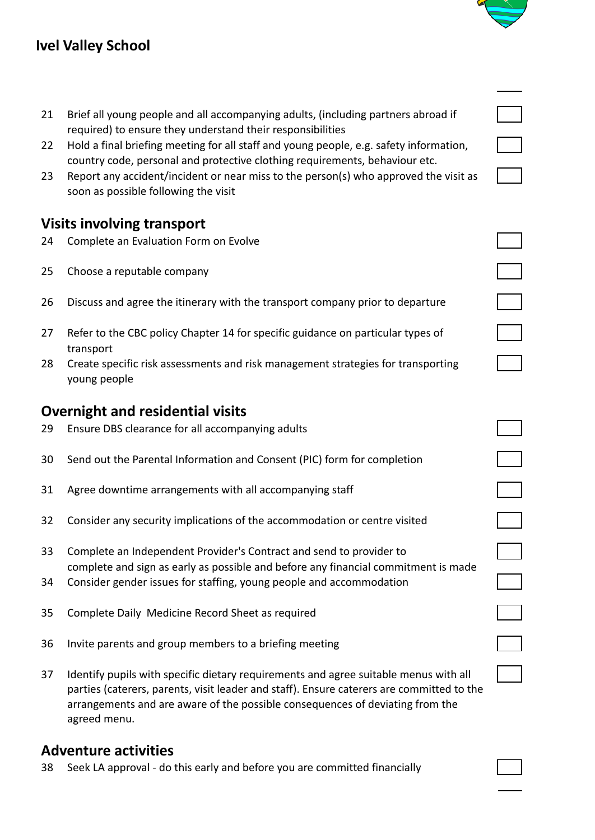

Ξ

### **Ivel Valley School**

- 21 Brief all young people and all accompanying adults, (including partners abroad if required) to ensure they understand their responsibilities
- 22 Hold a final briefing meeting for all staff and young people, e.g. safety information, country code, personal and protective clothing requirements, behaviour etc.
- 23 Report any accident/incident or near miss to the person(s) who approved the visit as soon as possible following the visit

### **Visits involving transport**

- 24 Complete an Evaluation Form on Evolve
- 25 Choose a reputable company
- 26 Discuss and agree the itinerary with the transport company prior to departure
- 27 Refer to the CBC policy Chapter 14 for specific guidance on particular types of transport
- 28 Create specific risk assessments and risk management strategies for transporting young people

### **Overnight and residential visits**

- 29 Ensure DBS clearance for all accompanying adults
- 30 Send out the Parental Information and Consent (PIC) form for completion
- 31 Agree downtime arrangements with all accompanying staff
- 32 Consider any security implications of the accommodation or centre visited
- 33 Complete an Independent Provider's Contract and send to provider to complete and sign as early as possible and before any financial commitment is made
- 34 Consider gender issues for staffing, young people and accommodation
- 35 Complete Daily Medicine Record Sheet as required
- 36 Invite parents and group members to a briefing meeting
- 37 Identify pupils with specific dietary requirements and agree suitable menus with all parties (caterers, parents, visit leader and staff). Ensure caterers are committed to the arrangements and are aware of the possible consequences of deviating from the agreed menu.

### **Adventure activities**

38 Seek LA approval - do this early and before you are committed financially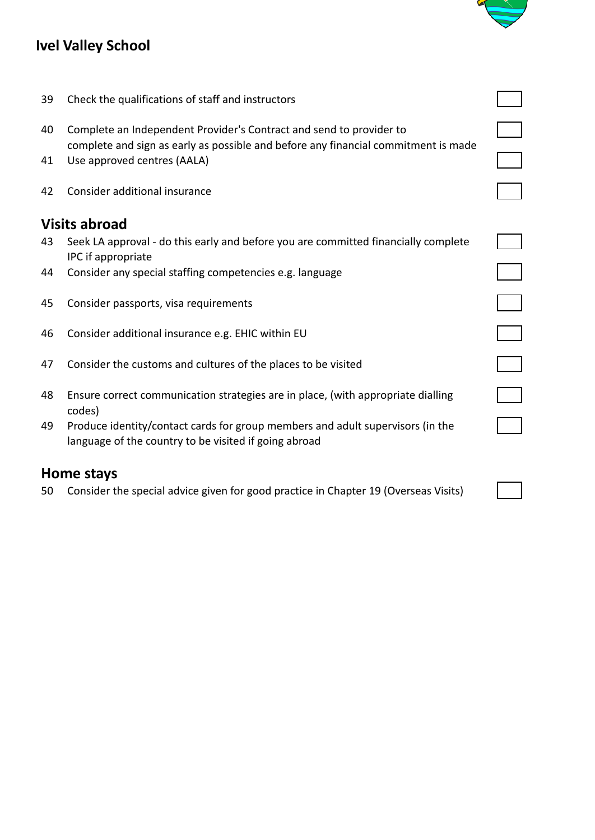

- 39 Check the qualifications of staff and instructors 40 Complete an Independent Provider's Contract and send to provider to complete and sign as early as possible and before any financial commitment is made 41 Use approved centres (AALA) 42 Consider additional insurance **Visits abroad** 43 Seek LA approval - do this early and before you are committed financially complete  $\Box$ IPC if appropriate 44 Consider any special staffing competencies e.g. language 45 Consider passports, visa requirements 46 Consider additional insurance e.g. EHIC within EU 47 Consider the customs and cultures of the places to be visited 48 Ensure correct communication strategies are in place, (with appropriate dialling codes) Ξ 49 Produce identity/contact cards for group members and adult supervisors (in the language of the country to be visited if going abroad **Home stays**
- 50 Consider the special advice given for good practice in Chapter 19 (Overseas Visits)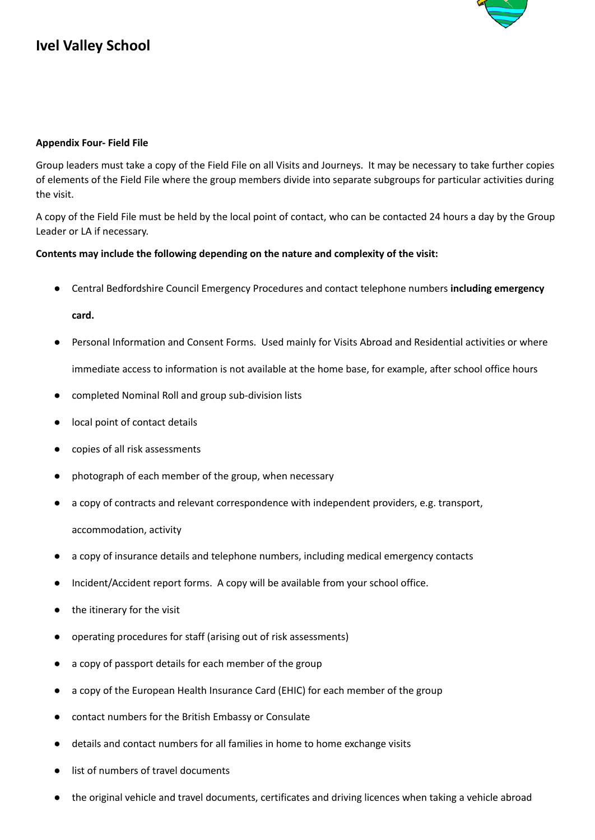

#### **Appendix Four- Field File**

Group leaders must take a copy of the Field File on all Visits and Journeys. It may be necessary to take further copies of elements of the Field File where the group members divide into separate subgroups for particular activities during the visit.

A copy of the Field File must be held by the local point of contact, who can be contacted 24 hours a day by the Group Leader or LA if necessary.

#### **Contents may include the following depending on the nature and complexity of the visit:**

● Central Bedfordshire Council Emergency Procedures and contact telephone numbers **including emergency**

**card.**

- Personal Information and Consent Forms. Used mainly for Visits Abroad and Residential activities or where immediate access to information is not available at the home base, for example, after school office hours
- completed Nominal Roll and group sub-division lists
- local point of contact details
- copies of all risk assessments
- photograph of each member of the group, when necessary
- a copy of contracts and relevant correspondence with independent providers, e.g. transport, accommodation, activity
- a copy of insurance details and telephone numbers, including medical emergency contacts
- Incident/Accident report forms. A copy will be available from your school office.
- the itinerary for the visit
- operating procedures for staff (arising out of risk assessments)
- a copy of passport details for each member of the group
- a copy of the European Health Insurance Card (EHIC) for each member of the group
- contact numbers for the British Embassy or Consulate
- details and contact numbers for all families in home to home exchange visits
- list of numbers of travel documents
- the original vehicle and travel documents, certificates and driving licences when taking a vehicle abroad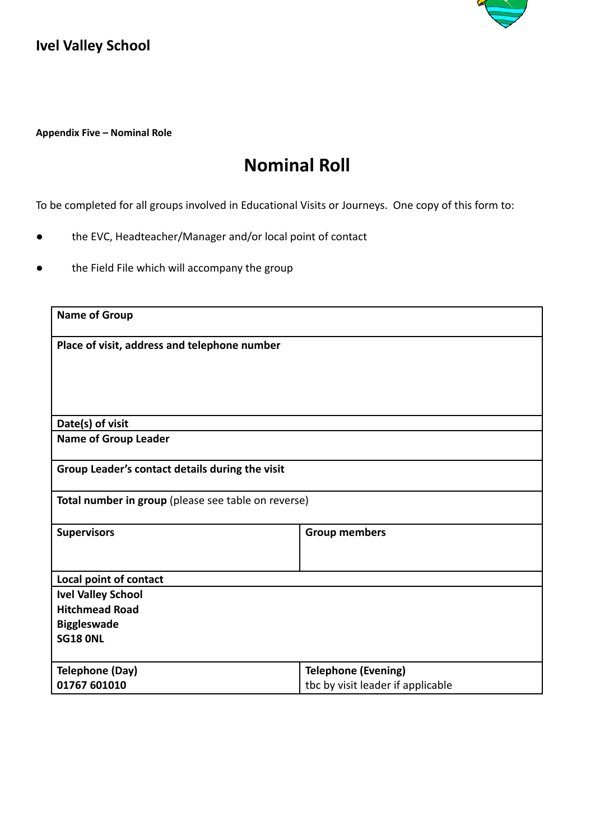

**Appendix Five – Nominal Role**

# **Nominal Roll**

To be completed for all groups involved in Educational Visits or Journeys. One copy of this form to:

- the EVC, Headteacher/Manager and/or local point of contact
- the Field File which will accompany the group

| <b>Name of Group</b>                                |                                   |  |  |  |
|-----------------------------------------------------|-----------------------------------|--|--|--|
| Place of visit, address and telephone number        |                                   |  |  |  |
| Date(s) of visit                                    |                                   |  |  |  |
| <b>Name of Group Leader</b>                         |                                   |  |  |  |
| Group Leader's contact details during the visit     |                                   |  |  |  |
| Total number in group (please see table on reverse) |                                   |  |  |  |
| <b>Supervisors</b>                                  | <b>Group members</b>              |  |  |  |
| Local point of contact                              |                                   |  |  |  |
| <b>Ivel Valley School</b>                           |                                   |  |  |  |
| <b>Hitchmead Road</b>                               |                                   |  |  |  |
| <b>Biggleswade</b>                                  |                                   |  |  |  |
| <b>SG18 ONL</b>                                     |                                   |  |  |  |
| <b>Telephone (Day)</b>                              | <b>Telephone (Evening)</b>        |  |  |  |
| 01767 601010                                        | tbc by visit leader if applicable |  |  |  |